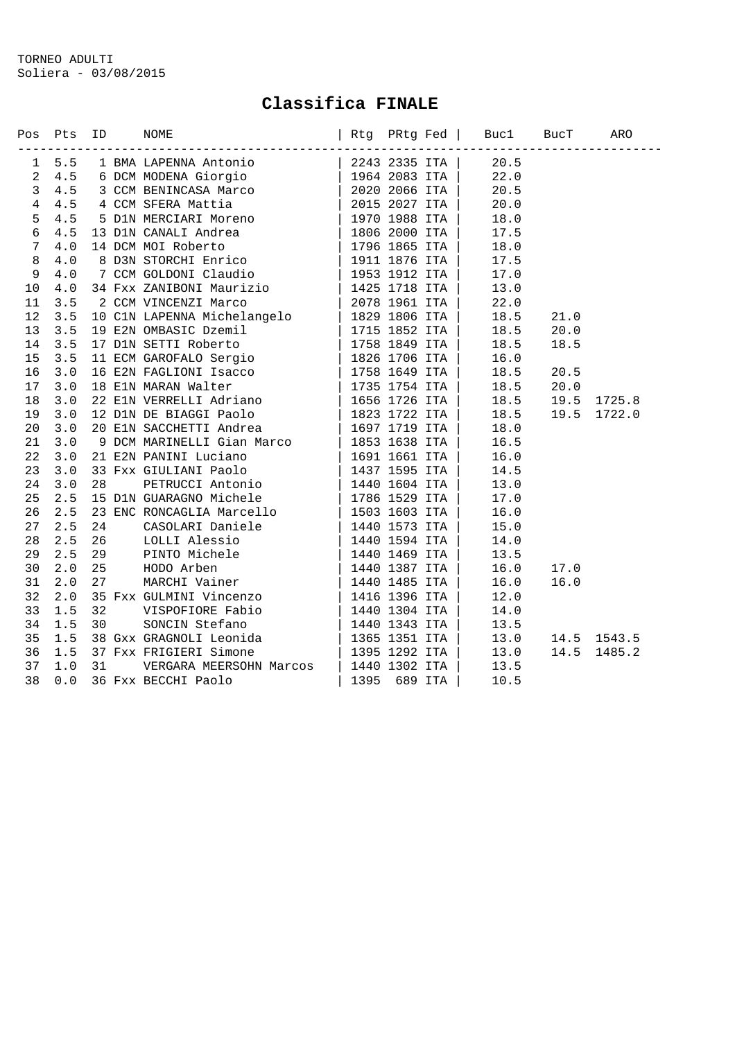## **Classifica FINALE**

|                | Pos Pts ID<br>---------------- |  | Rtg PRtg Fed   Bucl BucT ARO<br>NOME |  | --------------------------------- |                        |             |
|----------------|--------------------------------|--|--------------------------------------|--|-----------------------------------|------------------------|-------------|
|                | 1 5.5                          |  |                                      |  |                                   |                        |             |
| $\overline{a}$ |                                |  |                                      |  |                                   |                        |             |
| $\mathbf{3}$   |                                |  |                                      |  |                                   |                        |             |
| $\overline{4}$ |                                |  |                                      |  |                                   |                        |             |
| 5              |                                |  |                                      |  |                                   |                        |             |
| $\sqrt{6}$     |                                |  |                                      |  |                                   |                        |             |
| $\overline{7}$ |                                |  |                                      |  |                                   |                        |             |
| $\,8\,$        |                                |  |                                      |  |                                   |                        |             |
| $\overline{9}$ |                                |  |                                      |  |                                   |                        |             |
| 10             |                                |  |                                      |  |                                   |                        |             |
| 11             |                                |  |                                      |  |                                   |                        |             |
| 12             |                                |  |                                      |  |                                   | 21.0                   |             |
| 13             |                                |  |                                      |  |                                   | 20.0                   |             |
| 14             |                                |  |                                      |  |                                   | 18.5                   |             |
| 15             |                                |  |                                      |  |                                   |                        |             |
| 16             |                                |  |                                      |  |                                   | 20.5                   |             |
| 17             |                                |  |                                      |  | 18.5                              | 20.0                   |             |
| 18             |                                |  |                                      |  | 18.5                              | 19.5                   | 1725.8      |
| 19             |                                |  |                                      |  |                                   | 19.5                   | 1722.0      |
| 20             |                                |  |                                      |  |                                   |                        |             |
| 21             |                                |  |                                      |  |                                   |                        |             |
| 22             |                                |  |                                      |  |                                   |                        |             |
| 23             |                                |  |                                      |  |                                   |                        |             |
| 24             |                                |  |                                      |  |                                   |                        |             |
| 25             |                                |  |                                      |  |                                   |                        |             |
| 26             |                                |  |                                      |  |                                   |                        |             |
| 27             |                                |  |                                      |  |                                   |                        |             |
| 28             |                                |  |                                      |  |                                   |                        |             |
| 29             |                                |  |                                      |  |                                   |                        |             |
| 30             |                                |  |                                      |  |                                   | 17.0                   |             |
| 31             |                                |  |                                      |  |                                   | 16.0                   |             |
| 32             |                                |  |                                      |  |                                   |                        |             |
| 33             |                                |  |                                      |  |                                   |                        |             |
| 34             |                                |  |                                      |  |                                   |                        |             |
| 35             |                                |  |                                      |  |                                   | $13.0$ $14.5$ $1543.5$ |             |
| 36             |                                |  |                                      |  | 13.0                              |                        | 14.5 1485.2 |
| 37             |                                |  |                                      |  |                                   |                        |             |
| 38             |                                |  |                                      |  |                                   |                        |             |